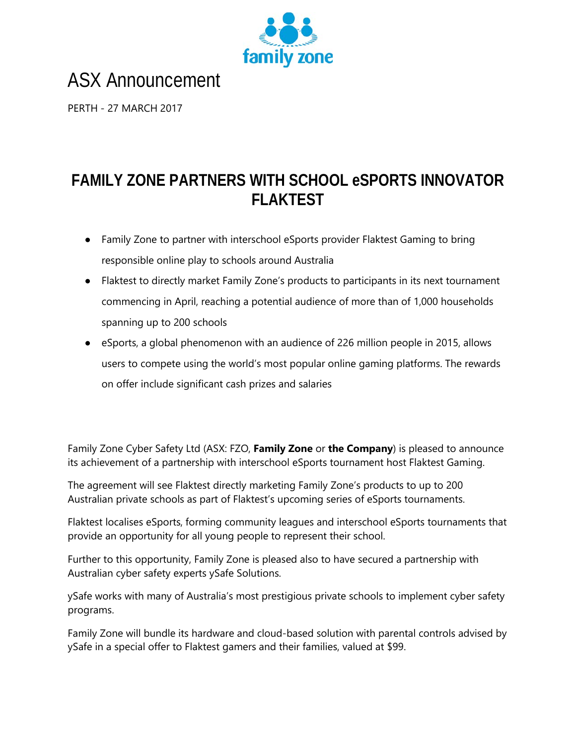

# ASX Announcement

PERTH - 27 MARCH 2017

# **FAMILY ZONE PARTNERS WITH SCHOOL eSPORTS INNOVATOR FLAKTEST**

- Family Zone to partner with interschool eSports provider Flaktest Gaming to bring responsible online play to schools around Australia
- Flaktest to directly market Family Zone's products to participants in its next tournament commencing in April, reaching a potential audience of more than of 1,000 households spanning up to 200 schools
- eSports, a global phenomenon with an audience of 226 million people in 2015, allows users to compete using the world's most popular online gaming platforms. The rewards on offer include significant cash prizes and salaries

Family Zone Cyber Safety Ltd (ASX: FZO, **Family Zone** or **the Company**) is pleased to announce its achievement of a partnership with interschool eSports tournament host Flaktest Gaming.

The agreement will see Flaktest directly marketing Family Zone's products to up to 200 Australian private schools as part of Flaktest's upcoming series of eSports tournaments.

Flaktest localises eSports, forming community leagues and interschool eSports tournaments that provide an opportunity for all young people to represent their school.

Further to this opportunity, Family Zone is pleased also to have secured a partnership with Australian cyber safety experts ySafe Solutions.

ySafe works with many of Australia's most prestigious private schools to implement cyber safety programs.

Family Zone will bundle its hardware and cloud-based solution with parental controls advised by ySafe in a special offer to Flaktest gamers and their families, valued at \$99.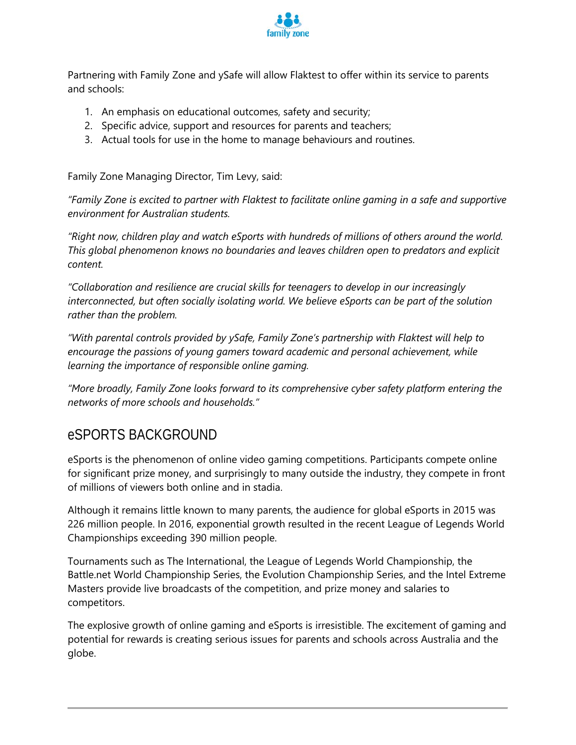

Partnering with Family Zone and ySafe will allow Flaktest to offer within its service to parents and schools:

- 1. An emphasis on educational outcomes, safety and security;
- 2. Specific advice, support and resources for parents and teachers;
- 3. Actual tools for use in the home to manage behaviours and routines.

Family Zone Managing Director, Tim Levy, said:

*"Family Zone is excited to partner with Flaktest to facilitate online gaming in a safe and supportive environment for Australian students.*

*"Right now, children play and watch eSports with hundreds of millions of others around the world. This global phenomenon knows no boundaries and leaves children open to predators and explicit content.*

*"Collaboration and resilience are crucial skills for teenagers to develop in our increasingly interconnected, but often socially isolating world. We believe eSports can be part of the solution rather than the problem.*

*"With parental controls provided by ySafe, Family Zone's partnership with Flaktest will help to encourage the passions of young gamers toward academic and personal achievement, while learning the importance of responsible online gaming.*

*"More broadly, Family Zone looks forward to its comprehensive cyber safety platform entering the networks of more schools and households."*

### eSPORTS BACKGROUND

eSports is the phenomenon of online video gaming competitions. Participants compete online for significant prize money, and surprisingly to many outside the industry, they compete in front of millions of viewers both online and in stadia.

Although it remains little known to many parents, the audience for global eSports in 2015 was 226 million people. In 2016, exponential growth resulted in the recent League of Legends World Championships exceeding 390 million people.

Tournaments such as The International, the League of Legends World Championship, the Battle.net World Championship Series, the Evolution Championship Series, and the Intel Extreme Masters provide live broadcasts of the competition, and prize money and salaries to competitors.

The explosive growth of online gaming and eSports is irresistible. The excitement of gaming and potential for rewards is creating serious issues for parents and schools across Australia and the globe.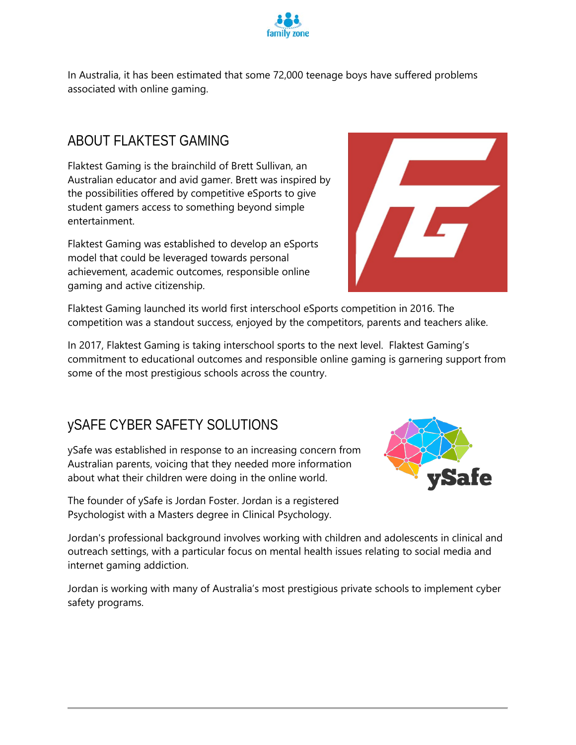

In Australia, it has been estimated that some 72,000 teenage boys have suffered problems associated with online gaming.

## ABOUT FLAKTEST GAMING

Flaktest Gaming is the brainchild of Brett Sullivan, an Australian educator and avid gamer. Brett was inspired by the possibilities offered by competitive eSports to give student gamers access to something beyond simple entertainment.

Flaktest Gaming was established to develop an eSports model that could be leveraged towards personal achievement, academic outcomes, responsible online gaming and active citizenship.



Flaktest Gaming launched its world first interschool eSports competition in 2016. The competition was a standout success, enjoyed by the competitors, parents and teachers alike.

In 2017, Flaktest Gaming is taking interschool sports to the next level. Flaktest Gaming's commitment to educational outcomes and responsible online gaming is garnering support from some of the most prestigious schools across the country.

# ySAFE CYBER SAFETY SOLUTIONS

ySafe was established in response to an increasing concern from Australian parents, voicing that they needed more information about what their children were doing in the online world.

The founder of ySafe is Jordan Foster. Jordan is a registered Psychologist with a Masters degree in Clinical Psychology.



Jordan's professional background involves working with children and adolescents in clinical and outreach settings, with a particular focus on mental health issues relating to social media and internet gaming addiction.

Jordan is working with many of Australia's most prestigious private schools to implement cyber safety programs.